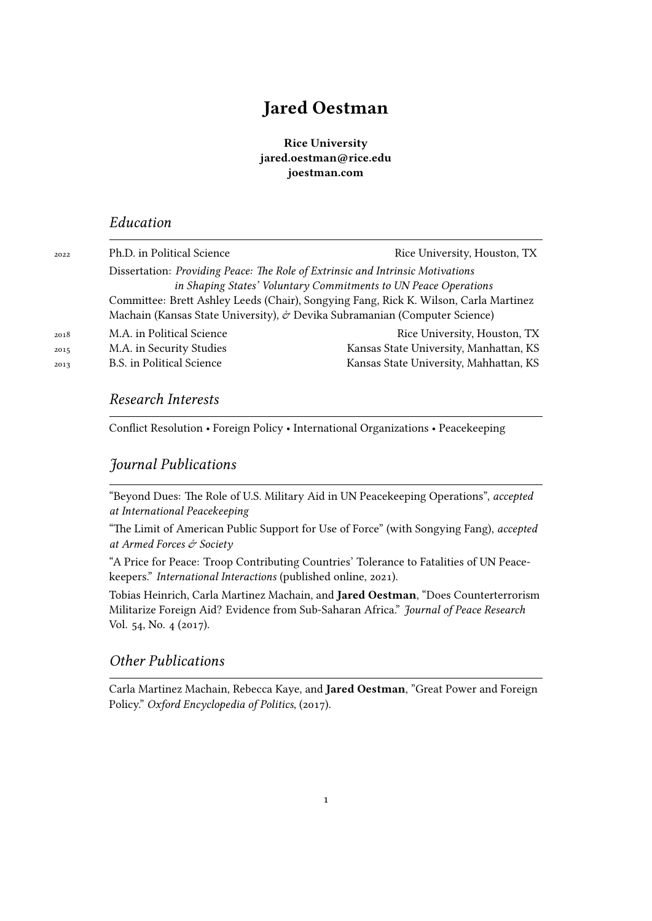## **Jared Oestman**

**Rice University jared.oestman@rice.edu joestman.com**

## *Education*

| 2022 | Ph.D. in Political Science                                                     | Rice University, Houston, TX                                                         |
|------|--------------------------------------------------------------------------------|--------------------------------------------------------------------------------------|
|      | Dissertation: Providing Peace: The Role of Extrinsic and Intrinsic Motivations |                                                                                      |
|      |                                                                                | in Shaping States' Voluntary Commitments to UN Peace Operations                      |
|      |                                                                                | Committee: Brett Ashley Leeds (Chair), Songying Fang, Rick K. Wilson, Carla Martinez |
|      | Machain (Kansas State University), & Devika Subramanian (Computer Science)     |                                                                                      |
| 2018 | M.A. in Political Science                                                      | Rice University, Houston, TX                                                         |
| 2015 | M.A. in Security Studies                                                       | Kansas State University, Manhattan, KS                                               |
| 2013 | <b>B.S.</b> in Political Science                                               | Kansas State University, Mahhattan, KS                                               |
|      |                                                                                |                                                                                      |

## *Research Interests*

Conflict Resolution • Foreign Policy • International Organizations • Peacekeeping

## *Journal Publications*

"Beyond Dues: The Role of U.S. Military Aid in UN Peacekeeping Operations", *accepted at International Peacekeeping*

"The Limit of American Public Support for Use of Force" (with Songying Fang), *accepted at Armed Forces & Society*

"A Price for Peace: Troop Contributing Countries' Tolerance to Fatalities of UN Peacekeepers." *International Interactions* (published online, 2021).

Tobias Heinrich, Carla Martinez Machain, and **Jared Oestman**, "Does Counterterrorism Militarize Foreign Aid? Evidence from Sub-Saharan Africa." *Journal of Peace Research* Vol. 54, No. 4 (2017).

## *Other Publications*

Carla Martinez Machain, Rebecca Kaye, and **Jared Oestman**, "Great Power and Foreign Policy." *Oxford Encyclopedia of Politics*, (2017).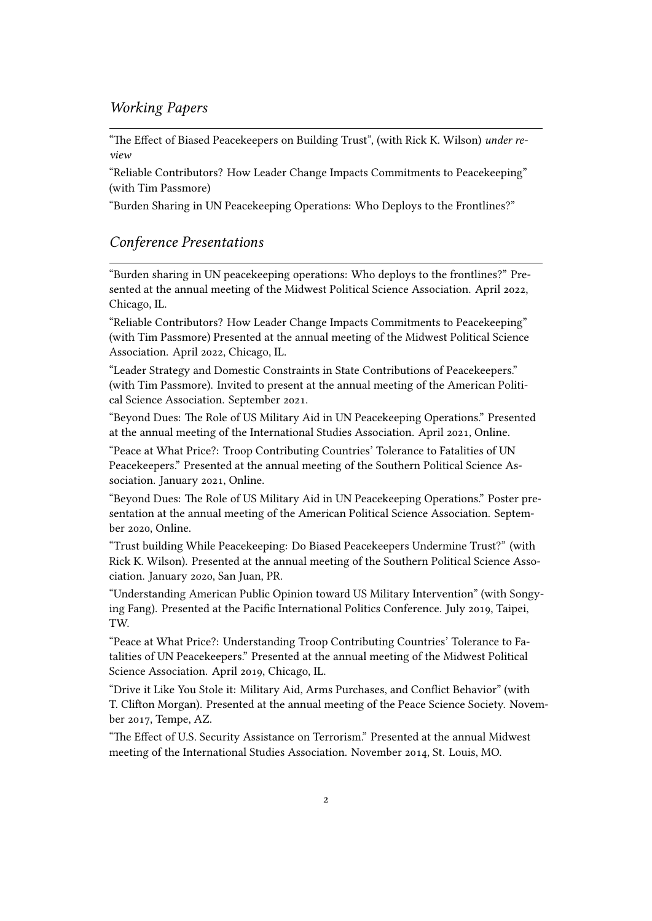## *Working Papers*

"The Effect of Biased Peacekeepers on Building Trust", (with Rick K. Wilson) *under review*

"Reliable Contributors? How Leader Change Impacts Commitments to Peacekeeping" (with Tim Passmore)

"Burden Sharing in UN Peacekeeping Operations: Who Deploys to the Frontlines?"

## *Conference Presentations*

"Burden sharing in UN peacekeeping operations: Who deploys to the frontlines?" Presented at the annual meeting of the Midwest Political Science Association. April 2022, Chicago, IL.

"Reliable Contributors? How Leader Change Impacts Commitments to Peacekeeping" (with Tim Passmore) Presented at the annual meeting of the Midwest Political Science Association. April 2022, Chicago, IL.

"Leader Strategy and Domestic Constraints in State Contributions of Peacekeepers." (with Tim Passmore). Invited to present at the annual meeting of the American Political Science Association. September 2021.

"Beyond Dues: The Role of US Military Aid in UN Peacekeeping Operations." Presented at the annual meeting of the International Studies Association. April 2021, Online.

"Peace at What Price?: Troop Contributing Countries' Tolerance to Fatalities of UN Peacekeepers." Presented at the annual meeting of the Southern Political Science Association. January 2021, Online.

"Beyond Dues: The Role of US Military Aid in UN Peacekeeping Operations." Poster presentation at the annual meeting of the American Political Science Association. September 2020, Online.

"Trust building While Peacekeeping: Do Biased Peacekeepers Undermine Trust?" (with Rick K. Wilson). Presented at the annual meeting of the Southern Political Science Association. January 2020, San Juan, PR.

"Understanding American Public Opinion toward US Military Intervention" (with Songying Fang). Presented at the Pacific International Politics Conference. July 2019, Taipei, TW.

"Peace at What Price?: Understanding Troop Contributing Countries' Tolerance to Fatalities of UN Peacekeepers." Presented at the annual meeting of the Midwest Political Science Association. April 2019, Chicago, IL.

"Drive it Like You Stole it: Military Aid, Arms Purchases, and Conflict Behavior" (with T. Clifton Morgan). Presented at the annual meeting of the Peace Science Society. November 2017, Tempe, AZ.

"The Effect of U.S. Security Assistance on Terrorism." Presented at the annual Midwest meeting of the International Studies Association. November 2014, St. Louis, MO.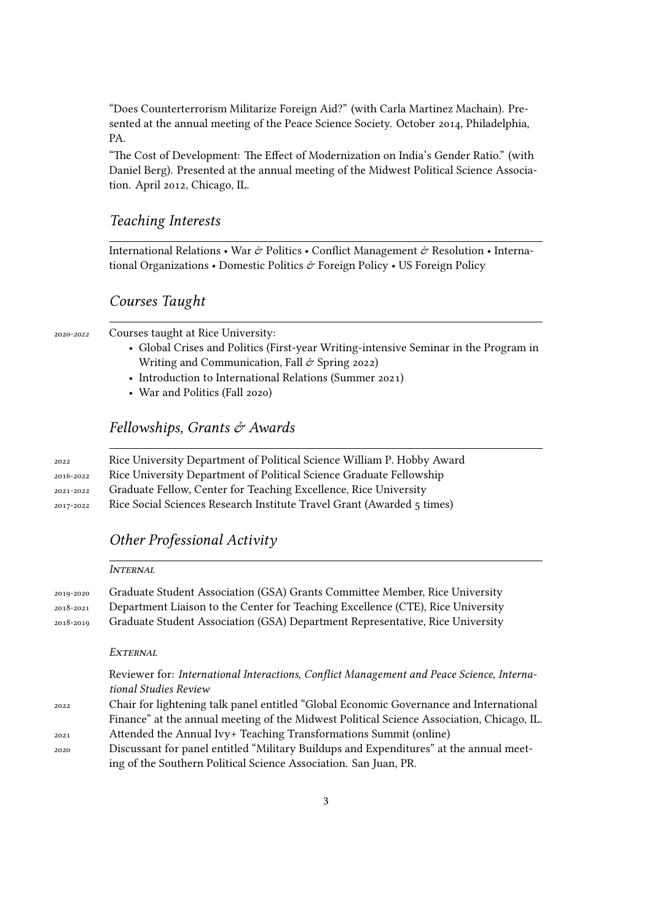"Does Counterterrorism Militarize Foreign Aid?" (with Carla Martinez Machain). Presented at the annual meeting of the Peace Science Society. October 2014, Philadelphia, PA.

"The Cost of Development: The Effect of Modernization on India's Gender Ratio." (with Daniel Berg). Presented at the annual meeting of the Midwest Political Science Association. April 2012, Chicago, IL.

#### *Teaching Interests*

International Relations • War & Politics • Conflict Management & Resolution • International Organizations • Domestic Politics  $\mathcal O$  Foreign Policy • US Foreign Policy

#### *Courses Taught*

#### 2020-*2022* Courses taught at Rice University:

- Global Crises and Politics (First-year Writing-intensive Seminar in the Program in Writing and Communication, Fall  $\acute{\sigma}$  Spring 2022)
- Introduction to International Relations (Summer 2021)
- War and Politics (Fall 2020)

## *Fellowships, Grants & Awards*

| 2022      | Rice University Department of Political Science William P. Hobby Award |
|-----------|------------------------------------------------------------------------|
| 2016-2022 | Rice University Department of Political Science Graduate Fellowship    |
| 2021-2022 | Graduate Fellow, Center for Teaching Excellence, Rice University       |
| 2017-2022 | Rice Social Sciences Research Institute Travel Grant (Awarded 5 times) |

### *Other Professional Activity*

|                        | INTERNAL                                                                                                                                                                                                                                        |  |
|------------------------|-------------------------------------------------------------------------------------------------------------------------------------------------------------------------------------------------------------------------------------------------|--|
| 2019-2020              | Graduate Student Association (GSA) Grants Committee Member, Rice University<br>Department Liaison to the Center for Teaching Excellence (CTE), Rice University<br>Graduate Student Association (GSA) Department Representative, Rice University |  |
| 2018-2021<br>2018-2019 |                                                                                                                                                                                                                                                 |  |
|                        | EXTERNAL                                                                                                                                                                                                                                        |  |
|                        | Reviewer for: International Interactions, Conflict Management and Peace Science, Interna-<br>tional Studies Review                                                                                                                              |  |
| 2022                   | Chair for lightening talk panel entitled "Global Economic Governance and International                                                                                                                                                          |  |
|                        | Finance" at the annual meeting of the Midwest Political Science Association, Chicago, IL.                                                                                                                                                       |  |
| 2021                   | Attended the Annual Ivy+ Teaching Transformations Summit (online)                                                                                                                                                                               |  |
| 2020                   | Discussant for panel entitled "Military Buildups and Expenditures" at the annual meet-                                                                                                                                                          |  |
|                        | ing of the Southern Political Science Association. San Juan, PR.                                                                                                                                                                                |  |